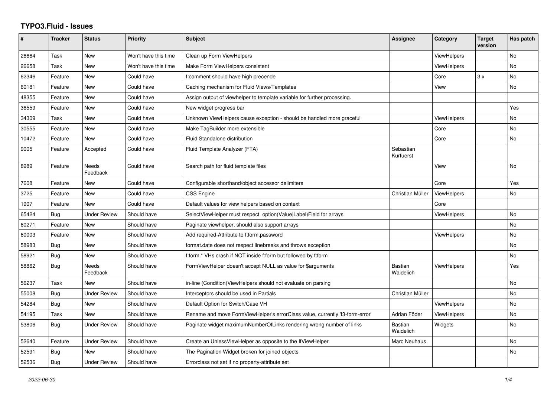## **TYPO3.Fluid - Issues**

| #     | <b>Tracker</b> | <b>Status</b>            | <b>Priority</b>      | <b>Subject</b>                                                               | Assignee                    | Category           | <b>Target</b><br>version | Has patch |
|-------|----------------|--------------------------|----------------------|------------------------------------------------------------------------------|-----------------------------|--------------------|--------------------------|-----------|
| 26664 | Task           | New                      | Won't have this time | Clean up Form ViewHelpers                                                    |                             | <b>ViewHelpers</b> |                          | No        |
| 26658 | Task           | New                      | Won't have this time | Make Form ViewHelpers consistent                                             |                             | ViewHelpers        |                          | <b>No</b> |
| 62346 | Feature        | New                      | Could have           | f:comment should have high precende                                          |                             | Core               | 3.x                      | <b>No</b> |
| 60181 | Feature        | <b>New</b>               | Could have           | Caching mechanism for Fluid Views/Templates                                  |                             | View               |                          | <b>No</b> |
| 48355 | Feature        | New                      | Could have           | Assign output of viewhelper to template variable for further processing.     |                             |                    |                          |           |
| 36559 | Feature        | New                      | Could have           | New widget progress bar                                                      |                             |                    |                          | Yes       |
| 34309 | Task           | New                      | Could have           | Unknown ViewHelpers cause exception - should be handled more graceful        |                             | <b>ViewHelpers</b> |                          | No        |
| 30555 | Feature        | New                      | Could have           | Make TagBuilder more extensible                                              |                             | Core               |                          | No        |
| 10472 | Feature        | <b>New</b>               | Could have           | <b>Fluid Standalone distribution</b>                                         |                             | Core               |                          | <b>No</b> |
| 9005  | Feature        | Accepted                 | Could have           | Fluid Template Analyzer (FTA)                                                | Sebastian<br>Kurfuerst      |                    |                          |           |
| 8989  | Feature        | <b>Needs</b><br>Feedback | Could have           | Search path for fluid template files                                         |                             | View               |                          | <b>No</b> |
| 7608  | Feature        | New                      | Could have           | Configurable shorthand/object accessor delimiters                            |                             | Core               |                          | Yes       |
| 3725  | Feature        | New                      | Could have           | <b>CSS Engine</b>                                                            | Christian Müller            | <b>ViewHelpers</b> |                          | No        |
| 1907  | Feature        | New                      | Could have           | Default values for view helpers based on context                             |                             | Core               |                          |           |
| 65424 | <b>Bug</b>     | <b>Under Review</b>      | Should have          | SelectViewHelper must respect option(Value Label)Field for arrays            |                             | <b>ViewHelpers</b> |                          | <b>No</b> |
| 60271 | Feature        | New                      | Should have          | Paginate viewhelper, should also support arrays                              |                             |                    |                          | No        |
| 60003 | Feature        | New                      | Should have          | Add required-Attribute to f:form.password                                    |                             | <b>ViewHelpers</b> |                          | <b>No</b> |
| 58983 | Bug            | New                      | Should have          | format.date does not respect linebreaks and throws exception                 |                             |                    |                          | No        |
| 58921 | <b>Bug</b>     | New                      | Should have          | f:form.* VHs crash if NOT inside f:form but followed by f:form               |                             |                    |                          | <b>No</b> |
| 58862 | Bug            | Needs<br>Feedback        | Should have          | FormViewHelper doesn't accept NULL as value for \$arguments                  | <b>Bastian</b><br>Waidelich | <b>ViewHelpers</b> |                          | Yes       |
| 56237 | Task           | <b>New</b>               | Should have          | in-line (Condition) View Helpers should not evaluate on parsing              |                             |                    |                          | <b>No</b> |
| 55008 | Bug            | <b>Under Review</b>      | Should have          | Interceptors should be used in Partials                                      | Christian Müller            |                    |                          | <b>No</b> |
| 54284 | <b>Bug</b>     | New                      | Should have          | Default Option for Switch/Case VH                                            |                             | <b>ViewHelpers</b> |                          | No        |
| 54195 | Task           | New                      | Should have          | Rename and move FormViewHelper's errorClass value, currently 'f3-form-error' | Adrian Föder                | <b>ViewHelpers</b> |                          | No        |
| 53806 | Bug            | <b>Under Review</b>      | Should have          | Paginate widget maximumNumberOfLinks rendering wrong number of links         | <b>Bastian</b><br>Waidelich | Widgets            |                          | <b>No</b> |
| 52640 | Feature        | <b>Under Review</b>      | Should have          | Create an UnlessViewHelper as opposite to the IfViewHelper                   | Marc Neuhaus                |                    |                          | No        |
| 52591 | Bug            | New                      | Should have          | The Pagination Widget broken for joined objects                              |                             |                    |                          | <b>No</b> |
| 52536 | Bug            | <b>Under Review</b>      | Should have          | Errorclass not set if no property-attribute set                              |                             |                    |                          |           |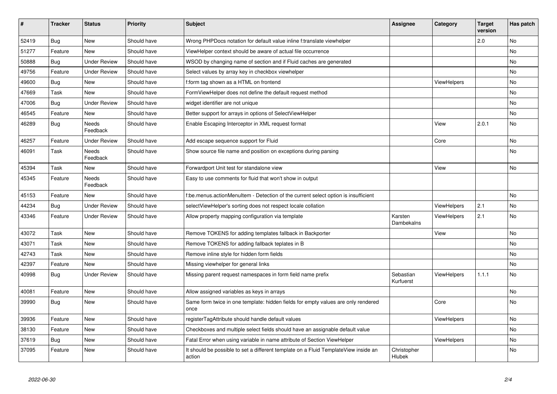| #     | <b>Tracker</b> | <b>Status</b>            | <b>Priority</b> | <b>Subject</b>                                                                                | Assignee               | Category           | <b>Target</b><br>version | Has patch |
|-------|----------------|--------------------------|-----------------|-----------------------------------------------------------------------------------------------|------------------------|--------------------|--------------------------|-----------|
| 52419 | <b>Bug</b>     | <b>New</b>               | Should have     | Wrong PHPDocs notation for default value inline f:translate viewhelper                        |                        |                    | 2.0                      | <b>No</b> |
| 51277 | Feature        | <b>New</b>               | Should have     | ViewHelper context should be aware of actual file occurrence                                  |                        |                    |                          | No        |
| 50888 | Bug            | <b>Under Review</b>      | Should have     | WSOD by changing name of section and if Fluid caches are generated                            |                        |                    |                          | No        |
| 49756 | Feature        | <b>Under Review</b>      | Should have     | Select values by array key in checkbox viewhelper                                             |                        |                    |                          | No        |
| 49600 | Bug            | New                      | Should have     | f:form tag shown as a HTML on frontend                                                        |                        | ViewHelpers        |                          | No        |
| 47669 | Task           | <b>New</b>               | Should have     | FormViewHelper does not define the default request method                                     |                        |                    |                          | No.       |
| 47006 | <b>Bug</b>     | <b>Under Review</b>      | Should have     | widget identifier are not unique                                                              |                        |                    |                          | No        |
| 46545 | Feature        | New                      | Should have     | Better support for arrays in options of SelectViewHelper                                      |                        |                    |                          | No        |
| 46289 | Bug            | <b>Needs</b><br>Feedback | Should have     | Enable Escaping Interceptor in XML request format                                             |                        | View               | 2.0.1                    | No        |
| 46257 | Feature        | <b>Under Review</b>      | Should have     | Add escape sequence support for Fluid                                                         |                        | Core               |                          | No        |
| 46091 | Task           | Needs<br>Feedback        | Should have     | Show source file name and position on exceptions during parsing                               |                        |                    |                          | No        |
| 45394 | Task           | <b>New</b>               | Should have     | Forwardport Unit test for standalone view                                                     |                        | View               |                          | No        |
| 45345 | Feature        | <b>Needs</b><br>Feedback | Should have     | Easy to use comments for fluid that won't show in output                                      |                        |                    |                          |           |
| 45153 | Feature        | <b>New</b>               | Should have     | f:be.menus.actionMenuItem - Detection of the current select option is insufficient            |                        |                    |                          | No        |
| 44234 | Bug            | <b>Under Review</b>      | Should have     | selectViewHelper's sorting does not respect locale collation                                  |                        | ViewHelpers        | 2.1                      | No        |
| 43346 | Feature        | Under Review             | Should have     | Allow property mapping configuration via template                                             | Karsten<br>Dambekalns  | ViewHelpers        | 2.1                      | No        |
| 43072 | Task           | <b>New</b>               | Should have     | Remove TOKENS for adding templates fallback in Backporter                                     |                        | View               |                          | <b>No</b> |
| 43071 | Task           | New                      | Should have     | Remove TOKENS for adding fallback teplates in B                                               |                        |                    |                          | No        |
| 42743 | Task           | <b>New</b>               | Should have     | Remove inline style for hidden form fields                                                    |                        |                    |                          | No        |
| 42397 | Feature        | <b>New</b>               | Should have     | Missing viewhelper for general links                                                          |                        |                    |                          | No        |
| 40998 | Bug            | <b>Under Review</b>      | Should have     | Missing parent request namespaces in form field name prefix                                   | Sebastian<br>Kurfuerst | <b>ViewHelpers</b> | 1.1.1                    | <b>No</b> |
| 40081 | Feature        | <b>New</b>               | Should have     | Allow assigned variables as keys in arrays                                                    |                        |                    |                          | No        |
| 39990 | Bug            | <b>New</b>               | Should have     | Same form twice in one template: hidden fields for empty values are only rendered<br>once     |                        | Core               |                          | <b>No</b> |
| 39936 | Feature        | <b>New</b>               | Should have     | registerTagAttribute should handle default values                                             |                        | ViewHelpers        |                          | <b>No</b> |
| 38130 | Feature        | <b>New</b>               | Should have     | Checkboxes and multiple select fields should have an assignable default value                 |                        |                    |                          | No        |
| 37619 | Bug            | New                      | Should have     | Fatal Error when using variable in name attribute of Section ViewHelper                       |                        | ViewHelpers        |                          | No        |
| 37095 | Feature        | <b>New</b>               | Should have     | It should be possible to set a different template on a Fluid TemplateView inside an<br>action | Christopher<br>Hlubek  |                    |                          | No        |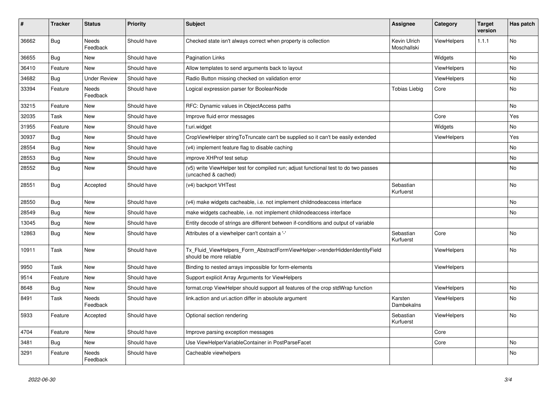| $\vert$ # | <b>Tracker</b> | <b>Status</b>       | <b>Priority</b> | <b>Subject</b>                                                                                              | <b>Assignee</b>             | Category           | <b>Target</b><br>version | Has patch |
|-----------|----------------|---------------------|-----------------|-------------------------------------------------------------------------------------------------------------|-----------------------------|--------------------|--------------------------|-----------|
| 36662     | Bug            | Needs<br>Feedback   | Should have     | Checked state isn't always correct when property is collection                                              | Kevin Ulrich<br>Moschallski | ViewHelpers        | 1.1.1                    | <b>No</b> |
| 36655     | Bug            | New                 | Should have     | <b>Pagination Links</b>                                                                                     |                             | Widgets            |                          | No        |
| 36410     | Feature        | <b>New</b>          | Should have     | Allow templates to send arguments back to layout                                                            |                             | <b>ViewHelpers</b> |                          | No        |
| 34682     | Bug            | <b>Under Review</b> | Should have     | Radio Button missing checked on validation error                                                            |                             | ViewHelpers        |                          | <b>No</b> |
| 33394     | Feature        | Needs<br>Feedback   | Should have     | Logical expression parser for BooleanNode                                                                   | <b>Tobias Liebig</b>        | Core               |                          | No        |
| 33215     | Feature        | New                 | Should have     | RFC: Dynamic values in ObjectAccess paths                                                                   |                             |                    |                          | No        |
| 32035     | Task           | New                 | Should have     | Improve fluid error messages                                                                                |                             | Core               |                          | Yes       |
| 31955     | Feature        | New                 | Should have     | f:uri.widget                                                                                                |                             | Widgets            |                          | No        |
| 30937     | Bug            | New                 | Should have     | CropViewHelper stringToTruncate can't be supplied so it can't be easily extended                            |                             | <b>ViewHelpers</b> |                          | Yes       |
| 28554     | <b>Bug</b>     | New                 | Should have     | (v4) implement feature flag to disable caching                                                              |                             |                    |                          | No        |
| 28553     | Bug            | New                 | Should have     | improve XHProf test setup                                                                                   |                             |                    |                          | No        |
| 28552     | Bug            | New                 | Should have     | (v5) write ViewHelper test for compiled run; adjust functional test to do two passes<br>(uncached & cached) |                             |                    |                          | No        |
| 28551     | Bug            | Accepted            | Should have     | (v4) backport VHTest                                                                                        | Sebastian<br>Kurfuerst      |                    |                          | <b>No</b> |
| 28550     | Bug            | New                 | Should have     | (v4) make widgets cacheable, i.e. not implement childnodeaccess interface                                   |                             |                    |                          | <b>No</b> |
| 28549     | Bug            | New                 | Should have     | make widgets cacheable, i.e. not implement childnodeaccess interface                                        |                             |                    |                          | No        |
| 13045     | <b>Bug</b>     | <b>New</b>          | Should have     | Entity decode of strings are different between if-conditions and output of variable                         |                             |                    |                          |           |
| 12863     | <b>Bug</b>     | New                 | Should have     | Attributes of a viewhelper can't contain a '-'                                                              | Sebastian<br>Kurfuerst      | Core               |                          | <b>No</b> |
| 10911     | Task           | New                 | Should have     | Tx Fluid ViewHelpers Form AbstractFormViewHelper->renderHiddenIdentityField<br>should be more reliable      |                             | <b>ViewHelpers</b> |                          | No        |
| 9950      | Task           | New                 | Should have     | Binding to nested arrays impossible for form-elements                                                       |                             | ViewHelpers        |                          |           |
| 9514      | Feature        | New                 | Should have     | Support explicit Array Arguments for ViewHelpers                                                            |                             |                    |                          |           |
| 8648      | Bug            | New                 | Should have     | format.crop ViewHelper should support all features of the crop stdWrap function                             |                             | ViewHelpers        |                          | No        |
| 8491      | Task           | Needs<br>Feedback   | Should have     | link.action and uri.action differ in absolute argument                                                      | Karsten<br>Dambekalns       | <b>ViewHelpers</b> |                          | No        |
| 5933      | Feature        | Accepted            | Should have     | Optional section rendering                                                                                  | Sebastian<br>Kurfuerst      | <b>ViewHelpers</b> |                          | <b>No</b> |
| 4704      | Feature        | New                 | Should have     | Improve parsing exception messages                                                                          |                             | Core               |                          |           |
| 3481      | Bug            | New                 | Should have     | Use ViewHelperVariableContainer in PostParseFacet                                                           |                             | Core               |                          | No        |
| 3291      | Feature        | Needs<br>Feedback   | Should have     | Cacheable viewhelpers                                                                                       |                             |                    |                          | No        |